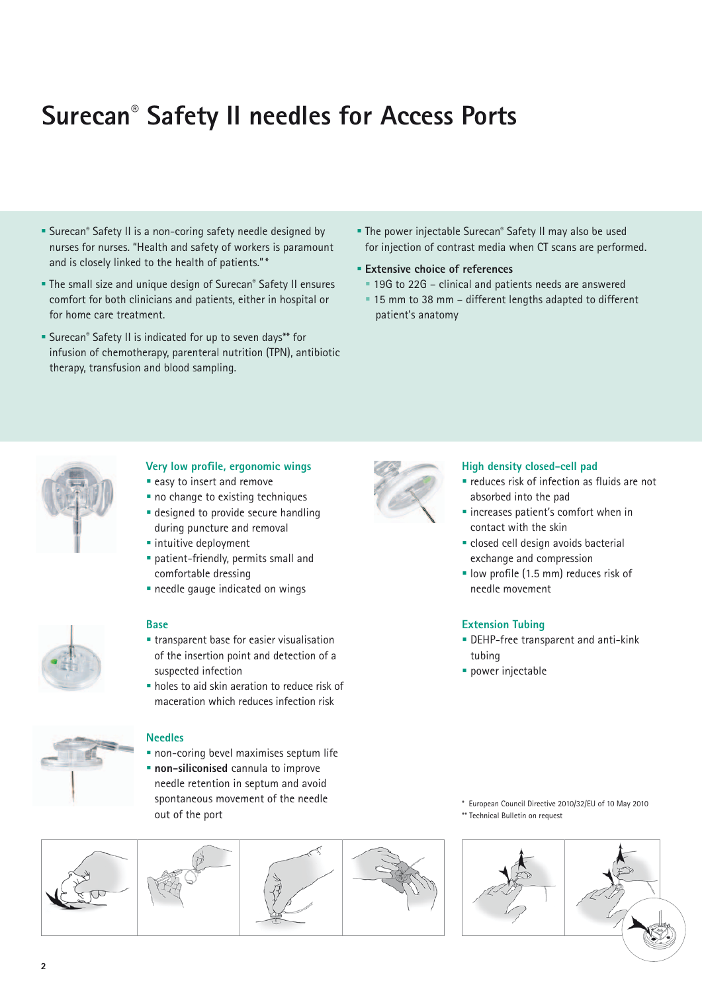# **Surecan® Safety II needles for Access Ports**

- Surecan® Safety II is a non-coring safety needle designed by nurses for nurses. "Health and safety of workers is paramount and is closely linked to the health of patients."\*
- **The small size and unique design of Surecan® Safety II ensures** comfort for both clinicians and patients, either in hospital or for home care treatment.
- **Surecan<sup>®</sup>** Safety II is indicated for up to seven days\*\* for infusion of chemotherapy, parenteral nutrition (TPN), antibiotic therapy, transfusion and blood sampling.
- The power injectable Surecan® Safety II may also be used for injection of contrast media when CT scans are performed.
- **Extensive choice of references**
	- 19G to 22G clinical and patients needs are answered
	- 15 mm to 38 mm different lengths adapted to different patient's anatomy

### **Very low profile, ergonomic wings**

- easy to insert and remove
- no change to existing techniques
- **designed to provide secure handling** during puncture and removal
- **·** intuitive deployment
- patient-friendly, permits small and comfortable dressing
- **needle gauge indicated on wings**

### **Base**

- **transparent base for easier visualisation** of the insertion point and detection of a suspected infection
- **holes to aid skin aeration to reduce risk of** maceration which reduces infection risk



### **Needles**

- **non-coring bevel maximises septum life**
- **non-siliconised** cannula to improve needle retention in septum and avoid spontaneous movement of the needle out of the port



### **High density closed-cell pad**

- **reduces risk of infection as fluids are not** absorbed into the pad
- $\blacksquare$  increases patient's comfort when in contact with the skin
- closed cell design avoids bacterial exchange and compression
- **I** low profile (1.5 mm) reduces risk of needle movement

### **Extension Tubing**

- **DEHP-free transparent and anti-kink** tubing
- **power injectable**

\* European Council Directive 2010/32/EU of 10 May 2010 \*\* Technical Bulletin on request



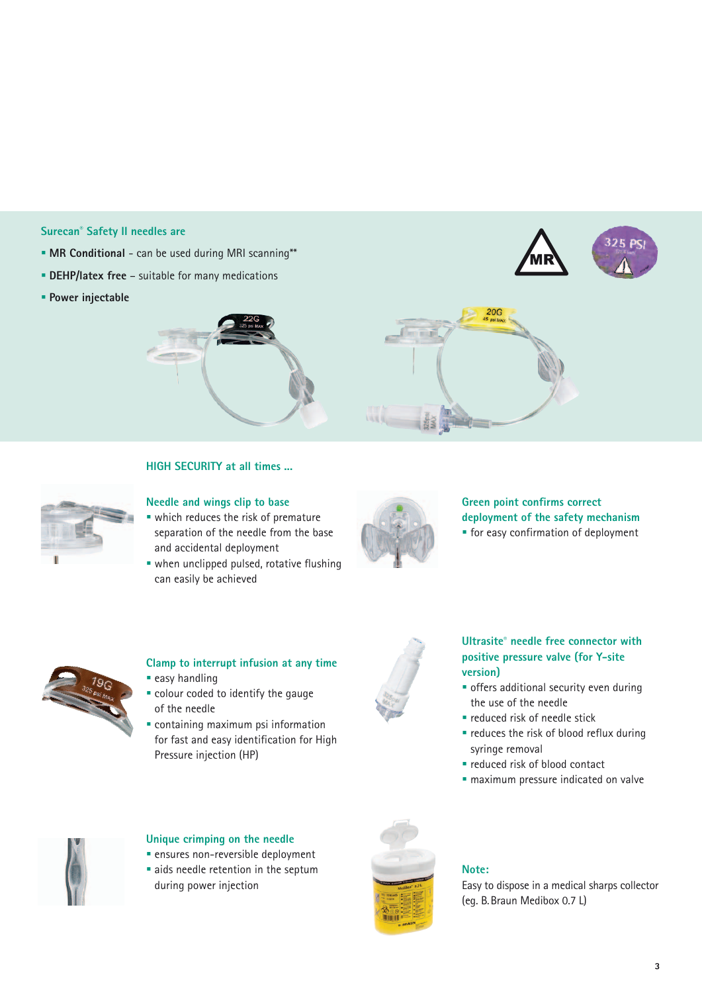### **Surecan® Safety II needles are**

- **MR Conditional** can be used during MRI scanning\*\*
- **DEHP/latex free** suitable for many medications
- **Power injectable**









#### **HIGH SECURITY at all times ...**

### **Needle and wings clip to base**

- which reduces the risk of premature separation of the needle from the base and accidental deployment
- when unclipped pulsed, rotative flushing can easily be achieved



## **Green point confirms correct deployment of the safety mechanism**

**for easy confirmation of deployment** 



### **Clamp to interrupt infusion at any time**   $\blacksquare$  easy handling

- colour coded to identify the gauge of the needle
- containing maximum psi information for fast and easy identification for High Pressure injection (HP)



### **Ultrasite® needle free connector with positive pressure valve (for Y-site version)**

- **•** offers additional security even during the use of the needle
- **Peduced risk of needle stick**
- **reduces the risk of blood reflux during** syringe removal
- reduced risk of blood contact
- **maximum pressure indicated on valve**



### **Unique crimping on the needle**

- **ensures non-reversible deployment**
- aids needle retention in the septum during power injection



### **Note:**

Easy to dispose in a medical sharps collector (eg. B.Braun Medibox 0.7 L)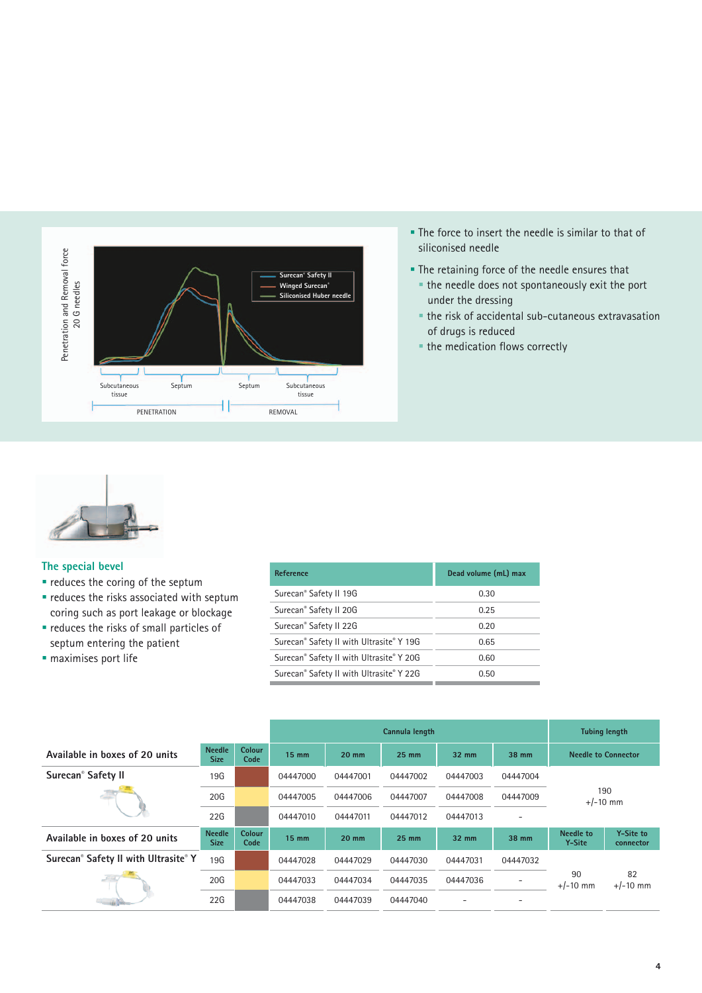

- The force to insert the needle is similar to that of siliconised needle
- $\blacksquare$  The retaining force of the needle ensures that the needle does not spontaneously exit the port under the dressing
	- the risk of accidental sub-cutaneous extravasation of drugs is reduced
	- $\blacksquare$  the medication flows correctly



### **The special bevel**

- **reduces the coring of the septum**
- **reduces the risks associated with septum** coring such as port leakage or blockage
- **reduces the risks of small particles of** septum entering the patient
- maximises port life

| Reference                                | Dead volume (mL) max |
|------------------------------------------|----------------------|
| Surecan <sup>®</sup> Safety II 19G       | 0.30                 |
| Surecan <sup>®</sup> Safety II 20G       | 0.25                 |
| Surecan <sup>®</sup> Safety II 22G       | 0.20                 |
| Surecan® Safety II with Ultrasite® Y 19G | 0.65                 |
| Surecan® Safety II with Ultrasite® Y 20G | 0.60                 |
| Surecan® Safety II with Ultrasite® Y 22G | 0.50                 |

|                                                              |                              |                       |                 |              | <b>Tubing length</b> |          |                              |                                   |                               |
|--------------------------------------------------------------|------------------------------|-----------------------|-----------------|--------------|----------------------|----------|------------------------------|-----------------------------------|-------------------------------|
| Available in boxes of 20 units                               | <b>Needle</b><br><b>Size</b> | <b>Colour</b><br>Code | $15 \text{ mm}$ | 20 mm        | 25 mm                | 32 mm    | 38 mm                        | <b>Needle to Connector</b>        |                               |
| Surecan <sup>®</sup> Safety II                               | 19G                          |                       | 04447000        | 04447001     | 04447002             | 04447003 | 04447004                     | 190<br>$+/-10$ mm                 |                               |
|                                                              | 20 <sub>G</sub>              |                       | 04447005        | 04447006     | 04447007             | 04447008 | 04447009                     |                                   |                               |
|                                                              | 22G                          |                       | 04447010        | 04447011     | 04447012             | 04447013 | $\qquad \qquad \blacksquare$ |                                   |                               |
| Available in boxes of 20 units                               | <b>Needle</b><br><b>Size</b> | <b>Colour</b><br>Code | $15 \text{ mm}$ | <b>20 mm</b> | 25 mm                | 32 mm    | 38 mm                        | <b>Needle to</b><br><b>Y-Site</b> | <b>Y-Site to</b><br>connector |
| Surecan <sup>®</sup> Safety II with Ultrasite <sup>®</sup> Y | 19G                          |                       | 04447028        | 04447029     | 04447030             | 04447031 | 04447032                     | 90<br>$+/-10$ mm                  |                               |
|                                                              | 20 <sub>G</sub>              |                       | 04447033        | 04447034     | 04447035             | 04447036 |                              |                                   | 82<br>$+/-10$ mm              |
|                                                              | 22G                          |                       | 04447038        | 04447039     | 04447040             |          |                              |                                   |                               |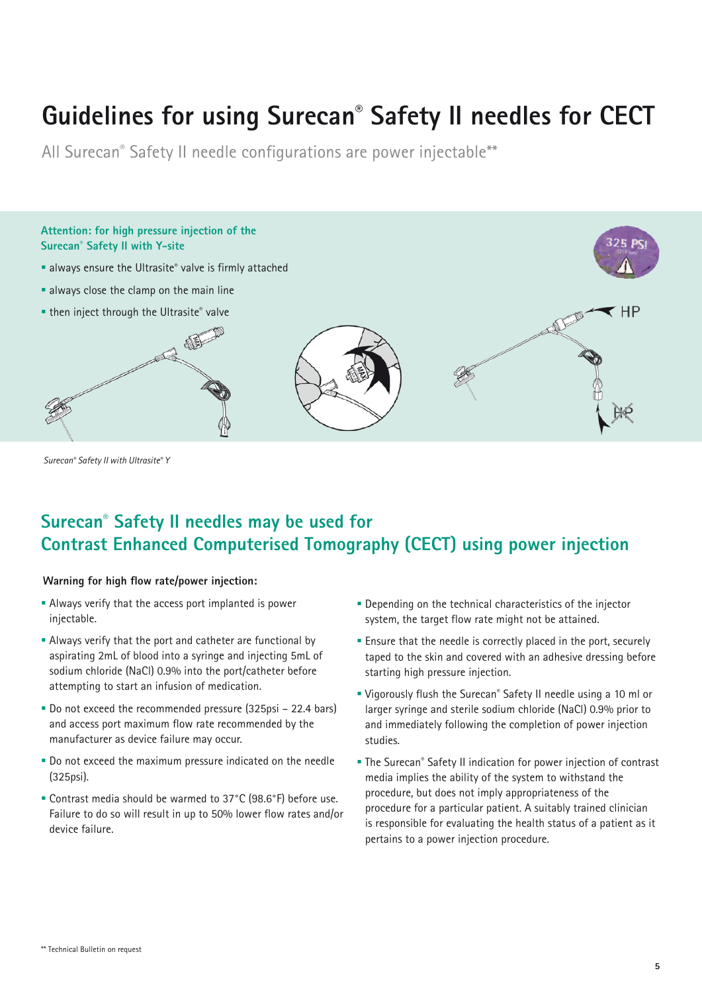## **Guidelines for using Surecan® Safety II needles for CECT**

All Surecan® Safety II needle configurations are power injectable\*\*



*Surecan® Safety II with Ultrasite® Y* 

## **Surecan® Safety II needles may be used for Contrast Enhanced Computerised Tomography (CECT) using power injection**

### **Warning for high flow rate/power injection:**

- Always verify that the access port implanted is power injectable.
- Always verify that the port and catheter are functional by aspirating 2mL of blood into a syringe and injecting 5mL of sodium chloride (NaCl) 0.9% into the port/catheter before attempting to start an infusion of medication.
- Do not exceed the recommended pressure (325psi 22.4 bars) and access port maximum flow rate recommended by the manufacturer as device failure may occur.
- Do not exceed the maximum pressure indicated on the needle (325psi).
- Contrast media should be warmed to 37°C (98.6°F) before use. Failure to do so will result in up to 50% lower flow rates and/or device failure.
- **Depending on the technical characteristics of the injector** system, the target flow rate might not be attained.
- **Ensure that the needle is correctly placed in the port, securely** taped to the skin and covered with an adhesive dressing before starting high pressure injection.
- Vigorously flush the Surecan® Safety II needle using a 10 ml or larger syringe and sterile sodium chloride (NaCl) 0.9% prior to and immediately following the completion of power injection studies.
- **The Surecan<sup>®</sup> Safety II indication for power injection of contrast** media implies the ability of the system to withstand the procedure, but does not imply appropriateness of the procedure for a particular patient. A suitably trained clinician is responsible for evaluating the health status of a patient as it pertains to a power injection procedure.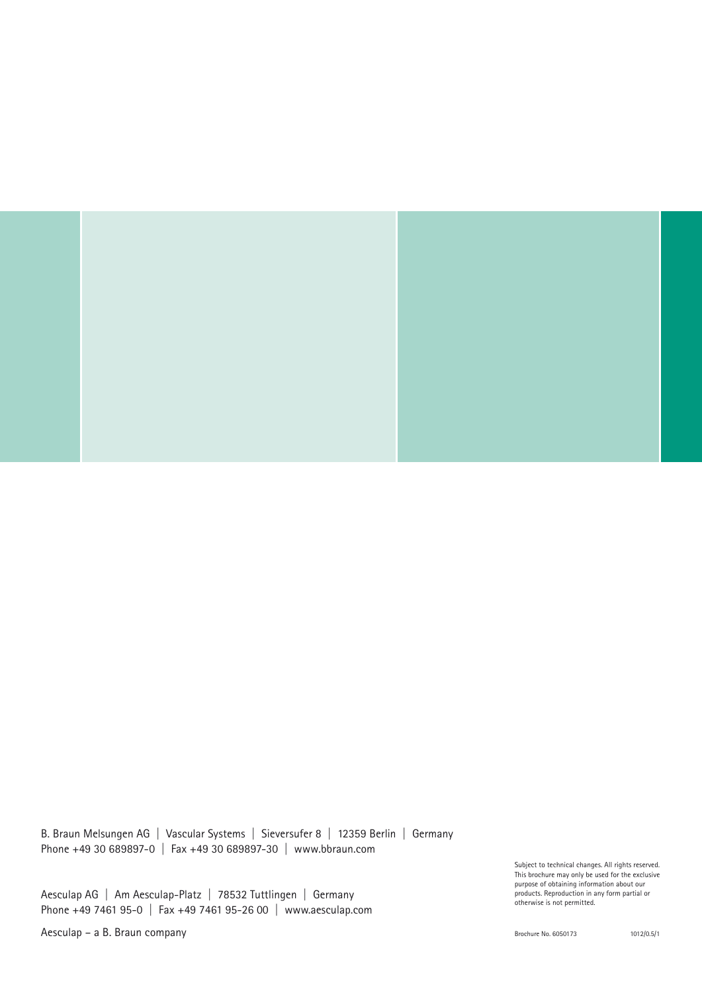

B. Braun Melsungen AG | Vascular Systems | Sieversufer 8 | 12359 Berlin | Germany Phone +49 30 689897-0 | Fax +49 30 689897-30 | www.bbraun.com

Aesculap AG | Am Aesculap-Platz | 78532 Tuttlingen | Germany Phone +49 7461 95-0 | Fax +49 7461 95-26 00 | www.aesculap.com

Aesculap – a B. Braun company

Subject to technical changes. All rights reserved. This brochure may only be used for the exclusive purpose of obtaining information about our products. Reproduction in any form partial or otherwise is not permitted.

Brochure No. 6050173 1012/0.5/1